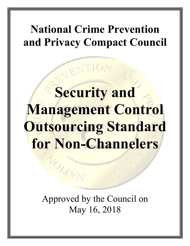## **National Crime Prevention and Privacy Compact Council**

# **Security and Management Control Outsourcing Standard for Non-Channelers**

Approved by the Council on May 16, 2018

NOILLEY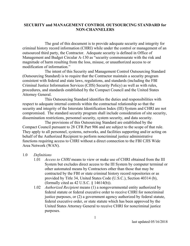#### **SECURITY and MANAGEMENT CONTROL OUTSOURCING STANDARD for NON-CHANNELERS**

The goal of this document is to provide adequate security and integrity for criminal history record information (CHRI) while under the control or management of an outsourced third party, the Contractor. Adequate security is defined in Office of Management and Budget Circular A-130 as "security commensurate with the risk and magnitude of harm resulting from the loss, misuse, or unauthorized access to or modification of information."

The intent of this Security and Management Control Outsourcing Standard (Outsourcing Standard) is to require that the Contractor maintain a security program consistent with federal and state laws, regulations, and standards (including the FBI Criminal Justice Information Services (CJIS) Security Policy) as well as with rules, procedures, and standards established by the Compact Council and the United States Attorney General.

This Outsourcing Standard identifies the duties and responsibilities with respect to adequate internal controls within the contractual relationship so that the security and integrity of the Interstate Identification Index (III) System and CHRI are not compromised. The standard security program shall include consideration of site security, dissemination restrictions, personnel security, system security, and data security.

The provisions of this Outsourcing Standard are established by the Compact Council pursuant to 28 CFR Part 906 and are subject to the scope of that rule. They apply to all personnel, systems, networks, and facilities supporting and/or acting on behalf of the Authorized Recipient to perform noncriminal justice administrative functions requiring access to CHRI without a direct connection to the FBI CJIS Wide Area Network (WAN).

#### 1.0 *Definitions*

- 1.01 *Access to CHRI* means to view or make use of CHRI obtained from the III System but excludes direct access to the III System by computer terminal or other automated means by Contractors other than those that may be contracted by the FBI or state criminal history record repositories or as provided by Title 34, United States Code (U.S.C.), Section 40314 (b), (formally cited as  $42$  U.S.C.  $\S$  14614(b)).
- 1.02 *Authorized Recipient* means (1) a nongovernmental entity authorized by federal statute or federal executive order to receive CHRI for noncriminal justice purposes, or (2) a government agency authorized by federal statute, federal executive order, or state statute which has been approved by the United States Attorney General to receive CHRI for noncriminal justice purposes.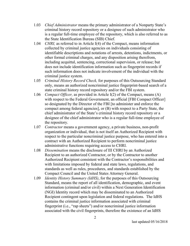- 1.03 *Chief Administrator* means the primary administrator of a Nonparty State's criminal history record repository or a designee of such administrator who is a regular full-time employee of the repository, which is also referred to as the State Identification Bureau (SIB) Chief.
- 1.04 *CHRI,* as referred to in Article I(4) of the Compact, means information collected by criminal justice agencies on individuals consisting of identifiable descriptions and notations of arrests, detentions, indictments, or other formal criminal charges, and any disposition arising therefrom, including acquittal, sentencing, correctional supervision, or release; but does not include identification information such as fingerprint records if such information does not indicate involvement of the individual with the criminal justice system.
- 1.05 *Criminal History Record Check,* for purposes of this Outsourcing Standard only, means an authorized noncriminal justice fingerprint-based search of a state criminal history record repository and/or the FBI system.
- 1.06 *Compact Officer,* as provided in Article I(2) of the Compact, means (A) with respect to the Federal Government, an official [FBI Compact Officer] so designated by the Director of the FBI [to administer and enforce the compact among federal agencies], or (B) with respect to a Party State, the chief administrator of the State's criminal history record repository or a designee of the chief administrator who is a regular full-time employee of the repository.
- 1.07 *Contractor* means a government agency, a private business, non-profit organization or individual, that is not itself an Authorized Recipient with respect to the particular noncriminal justice purpose, who has entered into a contract with an Authorized Recipient to perform noncriminal justice administrative functions requiring access to CHRI.
- 1.08 *Dissemination* means the disclosure of III CHRI by an Authorized Recipient to an authorized Contractor, or by the Contractor to another Authorized Recipient consistent with the Contractor's responsibilities and with limitations imposed by federal and state laws, regulations, and standards as well as rules, procedures, and standards established by the Compact Council and the United States Attorney General.
- 1.09 *Identity History Summary (IdHS)*, for the purposes of this Outsourcing Standard, means the report of all identification, demographic, and event information (criminal and/or civil) within a Next Generation Identification (NGI) Identity record which may be disseminated to an Authorized Recipient contingent upon legislation and federal regulations. The IdHS contains the criminal justice information associated with criminal fingerprint (i.e., "rap sheets") and/or noncriminal justice information associated with the civil fingerprints, therefore the existence of an IdHS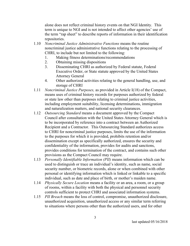alone does not reflect criminal history events on that NGI Identity. This term is unique to NGI and is not intended to affect other agencies' use of the term "rap sheet" to describe reports of information in their identification repositories.

- 1.10 *Noncriminal Justice Administrative Functions* means the routine noncriminal justice administrative functions relating to the processing of CHRI, to include but not limited to the following:
	- 1. Making fitness determinations/recommendations
	- 2. Obtaining missing dispositions
	- 3. Disseminating CHRI as authorized by Federal statute, Federal Executive Order, or State statute approved by the United States Attorney General
	- 4. Other authorized activities relating to the general handling, use, and storage of CHRI
- 1.11 *Noncriminal Justice Purposes,* as provided in Article I(18) of the Compact, means uses of criminal history records for purposes authorized by federal or state law other than purposes relating to criminal justice activities, including employment suitability, licensing determinations, immigration and naturalization matters, and national security clearances.
- 1.12 *Outsourcing Standard* means a document approved by the Compact Council after consultation with the United States Attorney General which is to be incorporated by reference into a contract between an Authorized Recipient and a Contractor. This Outsourcing Standard authorizes access to CHRI for noncriminal justice purposes, limits the use of the information to the purposes for which it is provided, prohibits retention and/or dissemination except as specifically authorized, ensures the security and confidentiality of the information, provides for audits and sanctions, provides conditions for termination of the contract, and contains such other provisions as the Compact Council may require.
- 1.13 *Personally Identifiable Information (PII)* means information which can be used to distinguish or trace an individual's identity, such as name, social security number, or biometric records, alone or when combined with other personal or identifying information which is linked or linkable to a specific individual, such as date and place of birth, or mother's maiden name.
- 1.14 *Physically Secure Location* means a facility or an area, a room, or a group of rooms, within a facility with both the physical and personnel security controls sufficient to protect CHRI and associated information systems.
- 1.15 *PII Breach* means the loss of control, compromise, unauthorized disclosure, unauthorized acquisition, unauthorized access or any similar term referring to situations where persons other than the authorized users, and for other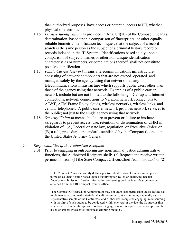than authorized purposes, have access or potential access to PII, whether physical or electronic.

- 1.16 *Positive Identification,* as provided in Article I(20) of the Compact, means a determination, based upon a comparison of fingerprints<sup>1</sup> or other equally reliable biometric identification techniques, that the subject of a record search is the same person as the subject of a criminal history record or records indexed in the III System. Identifications based solely upon a comparison of subjects' names or other non-unique identification characteristics or numbers, or combinations thereof, shall not constitute positive identification.
- 1.17 *Public Carrier Network* means a telecommunications infrastructure consisting of network components that are not owned, operated, and managed solely by the agency using that network, i.e., any telecommunications infrastructure which supports public users other than those of the agency using that network. Examples of a public carrier network include but are not limited to the following: Dial-up and Internet connections, network connections to Verizon, network connections to AT&T, ATM Frame Relay clouds, wireless networks, wireless links, and cellular telephones. A public carrier network provides network services to the public; not just to the single agency using that network.
- 1.18 *Security Violation* means the failure to prevent or failure to institute safeguards to prevent access, use, retention, or dissemination of CHRI in violation of: (A) Federal or state law, regulation, or Executive Order; or (B) a rule, procedure, or standard established by the Compact Council and the United States Attorney General.

#### 2.0 *Responsibilities of the Authorized Recipient*

2.01 Prior to engaging in outsourcing any noncriminal justice administrative functions, the Authorized Recipient shall: (a) Request and receive written permission from (1) the State Compact Officer/Chief Administrator<sup>2</sup> or (2)

<sup>&</sup>lt;sup>1</sup> The Compact Council currently defines positive identification for noncriminal justice purposes as identification based upon a qualifying ten-rolled or qualifying ten-flat fingerprint submission. Further information concerning positive identification may be obtained from the FBI Compact Council office.

 $2$ The Compact Officer/Chief Administrator may not grant such permission unless he/she has implemented a combined state/federal audit program to, at a minimum, triennially audit a representative sample of the Contractors and Authorized Recipients engaging in outsourcing with the first of such audits to be conducted within one year of the date the Contractor first receives CHRI under the approved outsourcing agreement. A representative sample will be based on generally accepted statistical sampling methods.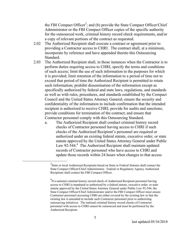the FBI Compact Officer<sup>3</sup>; and (b) provide the State Compact Officer/Chief Administrator or the FBI Compact Officer copies of the specific authority for the outsourced work, criminal history record check requirements, and/or a copy of relevant portions of the contract as requested.

- 2.02 The Authorized Recipient shall execute a contract or agreement prior to providing a Contractor access to CHRI. The contract shall, at a minimum, incorporate by reference and have appended thereto this Outsourcing Standard.
- 2.03 The Authorized Recipient shall, in those instances when the Contractor is to perform duties requiring access to CHRI, specify the terms and conditions of such access; limit the use of such information to the purposes for which it is provided; limit retention of the information to a period of time not to exceed that period of time the Authorized Recipient is permitted to retain such information; prohibit dissemination of the information except as specifically authorized by federal and state laws, regulations, and standards as well as with rules, procedures, and standards established by the Compact Council and the United States Attorney General; ensure the security and confidentiality of the information to include confirmation that the intended recipient is authorized to receive CHRI; provide for audits and sanctions; provide conditions for termination of the contract; and ensure that Contractor personnel comply with this Outsourcing Standard.
	- a. The Authorized Recipient shall conduct criminal history record checks of Contractor personnel having access to CHRI if such checks of the Authorized Recipient's personnel are required or authorized under an existing federal statute, executive order, or state statute approved by the United States Attorney General under Public Law 92-544.<sup>4</sup> The Authorized Recipient shall maintain updated records of Contractor personnel who have access to CHRI and update those records within 24 hours when changes to that access

 <sup>3</sup>  $3$ State or local Authorized Recipients based on State or Federal Statutes shall contact the State Compact Officer/Chief Administrator. Federal or Regulatory Agency Authorized Recipients shall contact the FBI Compact Officer.

<sup>&</sup>lt;sup>4</sup>If a national criminal history record check of Authorized Recipient personnel having access to CHRI is mandated or authorized by a federal statute, executive order, or state statute approved by the United States Attorney General under Public Law 92-544, the State Compact Officer/Chief Administrator and/or the FBI Compact Officer must ensure Contractor personnel accessing CHRI are either covered by the existing law or that the existing law is amended to include such Contractor personnel prior to authorizing outsourcing initiatives. The national criminal history record checks of Contractor personnel with access to CHRI cannot be outsourced and must be performed by the Authorized Recipient.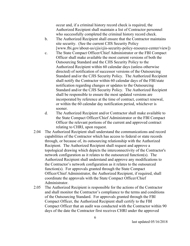occur and, if a criminal history record check is required, the Authorized Recipient shall maintain a list of Contractor personnel who successfully completed the criminal history record check.

- b. The Authorized Recipient shall ensure that the Contractor maintains site security. (See the current CJIS Security Policy [www.fbi.gov/about-us/cjis/cjis-security-policy-resource-center/view])
- c. The State Compact Officer/Chief Administrator or the FBI Compact Officer shall make available the most current versions of both the Outsourcing Standard and the CJIS Security Policy to the Authorized Recipient within 60 calendar days (unless otherwise directed) of notification of successor versions of the Outsourcing Standard and/or the CJIS Security Policy. The Authorized Recipient shall notify the Contractor within 60 calendar days of the FBI/state notification regarding changes or updates to the Outsourcing Standard and/or the CJIS Security Policy. The Authorized Recipient shall be responsible to ensure the most updated versions are incorporated by reference at the time of contract, contract renewal, or within the 60 calendar day notification period, whichever is sooner.
- d. The Authorized Recipient and/or Contractor shall make available to the State Compact Officer/Chief Administrator or the FBI Compact Officer the relevant portions of the current and approved contract relating to CHRI, upon request.
- 2.04 The Authorized Recipient shall understand the communications and record capabilities of the Contractor which has access to federal or state records through, or because of, its outsourcing relationship with the Authorized Recipient. The Authorized Recipient shall request and approve a topological drawing which depicts the interconnectivity of the Contractor's network configuration as it relates to the outsourced function(s). The Authorized Recipient shall understand and approve any modifications to the Contractor's network configuration as it relates to the outsourced function(s). For approvals granted through the State Compact Officer/Chief Administrator, the Authorized Recipient, if required, shall coordinate the approvals with the State Compact Officer/Chief Administrator.
- 2.05 The Authorized Recipient is responsible for the actions of the Contractor and shall monitor the Contractor's compliance to the terms and conditions of the Outsourcing Standard. For approvals granted through the FBI Compact Officer, the Authorized Recipient shall certify to the FBI Compact Officer that an audit was conducted with the Contractor within 90 days of the date the Contractor first receives CHRI under the approved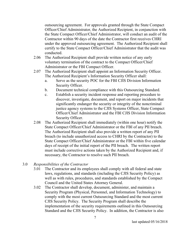outsourcing agreement. For approvals granted through the State Compact Officer/Chief Administrator, the Authorized Recipient, in conjunction with the State Compact Officer/Chief Administrator, will conduct an audit of the Contractor within 90 days of the date the Contractor first receives CHRI under the approved outsourcing agreement. The Authorized Recipient shall certify to the State Compact Officer/Chief Administrator that the audit was conducted.

- 2.06 The Authorized Recipient shall provide written notice of any early voluntary termination of the contract to the Compact Officer/Chief Administrator or the FBI Compact Officer.
- 2.07 The Authorized Recipient shall appoint an Information Security Officer. The Authorized Recipient's Information Security Officer shall:
	- a. Serve as the security POC for the FBI CJIS Division Information Security Officer.
	- b. Document technical compliance with this Outsourcing Standard.
	- c. Establish a security incident response and reporting procedure to discover, investigate, document, and report on major incidents that significantly endanger the security or integrity of the noncriminal justice agency systems to the CJIS Systems Officer, State Compact Officer/Chief Administrator and the FBI CJIS Division Information Security Officer.
- 2.08 The Authorized Recipient shall immediately (within one hour) notify the State Compact Officer/Chief Administrator or the FBI of any PII breach. The Authorized Recipient shall also provide a written report of any PII breach (to include unauthorized access to CHRI by the Contractor) to the State Compact Officer/Chief Administrator or the FBI within five calendar days of receipt of the initial report of the PII breach. The written report must include corrective actions taken by the Authorized Recipient and, if necessary, the Contractor to resolve such PII breach.

### 3.0 *Responsibilities of the Contractor*

- 3.01 The Contractor and its employees shall comply with all federal and state laws, regulations, and standards (including the CJIS Security Policy) as well as with rules, procedures, and standards established by the Compact Council and the United States Attorney General.
- 3.02 The Contractor shall develop, document, administer, and maintain a Security Program (Physical, Personnel, and Information Technology) to comply with the most current Outsourcing Standard and the most current CJIS Security Policy. The Security Program shall describe the implementation of the security requirements outlined in this Outsourcing Standard and the CJIS Security Policy. In addition, the Contractor is also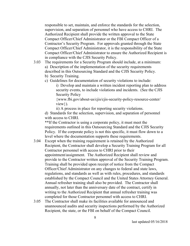responsible to set, maintain, and enforce the standards for the selection, supervision, and separation of personnel who have access to CHRI. The Authorized Recipient shall provide the written approval to the State Compact Officer/Chief Administrator or the FBI Compact Officer of a Contractor's Security Program. For approvals granted through the State Compact Officer/Chief Administrator, it is the responsibility of the State Compact Officer/Chief Administrator to ensure the Authorized Recipient is in compliance with the CJIS Security Policy.

- 3.03 The requirements for a Security Program should include, at a minimum: a) Description of the implementation of the security requirements described in this Outsourcing Standard and the CJIS Security Policy. b) Security Training.
	- c) Guidelines for documentation of security violations to include:
		- i) Develop and maintain a written incident reporting plan to address security events, to include violations and incidents. (See the CJIS Security Policy

{www.fbi.gov/about-us/cjis/cjis-security-policy-resource-center/ view}).

ii) A process in place for reporting security violations.

d) Standards for the selection, supervision, and separation of personnel with access to CHRI.

\*\*If the Contractor is using a corporate policy, it must meet the requirements outlined in this Outsourcing Standard and the CJIS Security Policy. If the corporate policy is not this specific, it must flow down to a level where the documentation supports these requirements.

- 3.04 Except when the training requirement is retained by the Authorized Recipient, the Contractor shall develop a Security Training Program for all Contractor personnel with access to CHRI prior to their appointment/assignment. The Authorized Recipient shall review and provide to the Contractor written approval of the Security Training Program. Training shall be provided upon receipt of notice from the Compact Officer/Chief Administrator on any changes to federal and state laws, regulations, and standards as well as with rules, procedures, and standards established by the Compact Council and the United States Attorney General. Annual refresher training shall also be provided. The Contractor shall annually, not later than the anniversary date of the contract, certify in writing to the Authorized Recipient that annual refresher training was completed for those Contractor personnel with access to CHRI.
- 3.05 The Contractor shall make its facilities available for announced and unannounced audits and security inspections performed by the Authorized Recipient, the state, or the FBI on behalf of the Compact Council.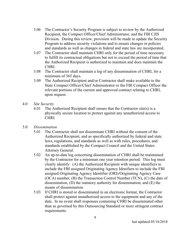- 3.06 The Contractor's Security Program is subject to review by the Authorized Recipient, the Compact Officer/Chief Administrator, and the FBI CJIS Division. During this review, provision will be made to update the Security Program to address security violations and to ensure changes in policies and standards as well as changes in federal and state law are incorporated.
- 3.07 The Contractor shall maintain CHRI only for the period of time necessary to fulfill its contractual obligations but not to exceed the period of time that the Authorized Recipient is authorized to maintain and does maintain the CHRI.
- 3.08 The Contractor shall maintain a log of any dissemination of CHRI, for a minimum of 365 days.
- 3.09 The Authorized Recipient and/or Contractor shall make available to the State Compact Officer/Chief Administrator or the FBI Compact Officer the relevant portions of the current and approved contract relating to CHRI, upon request.
- 4.0 *Site Security*
	- 4.01 The Authorized Recipient shall ensure that the Contractor site(s) is a physically secure location to protect against any unauthorized access to CHRI.
- 5.0 *Dissemination*
	- 5.01 The Contractor shall not disseminate CHRI without the consent of the Authorized Recipient, and as specifically authorized by federal and state laws, regulations, and standards as well as with rules, procedures, and standards established by the Compact Council and the United States Attorney General.
	- 5.02 An up-to-date log concerning dissemination of CHRI shall be maintained by the Contractor for a minimum one year retention period. This log must clearly identify: (A) the Authorized Recipient with unique identifiers to include the FBI assigned Originating Agency Idenifiers to include the FBI assigned Originating Agency Identifier (ORI)/Originating Agency Case (OCA) number, (B) the Transaction Control Number (TCN), (C) the date of dissemination, (D) the statutory authority for dissemination, and (E) the means of dissemination.
	- 5.03 If CHRI is stored or disseminated in an electronic format, the Contractor shall protect against unauthorized access to the equipment and any of the data. In no event shall responses containing CHRI be disseminated other than as governed by this Outsourcing Standard or more stringent contract requirements.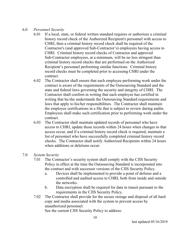- 6.0 *Personnel Security* 
	- 6.01 If a local, state, or federal written standard requires or authorizes a criminal history record check of the Authorized Recipient's personnel with access to CHRI, then a criminal history record check shall be required of the Contractor's (and approved Sub-Contractor's) employees having access to CHRI. Criminal history record checks of Contractor and approved Sub-Contractor employees, at a minimum, will be no less stringent than criminal history record checks that are performed on the Authorized Recipient's personnel performing similar functions. Criminal history record checks must be completed prior to accessing CHRI under the contract.
	- 6.02 The Contractor shall ensure that each employee performing work under the contract is aware of the requirements of the Outsourcing Standard and the state and federal laws governing the security and integrity of CHRI. The Contractor shall confirm in writing that each employee has certified in writing that he/she understands the Outsourcing Standard requirements and laws that apply to his/her responsibilities. The Contractor shall maintain the employee certifications in a file that is subject to review during audits. Employees shall make such certification prior to performing work under the contract.
	- 6.03 The Contractor shall maintain updated records of personnel who have access to CHRI, update those records within 24 hours when changes to that access occur, and if a criminal history record check is required, maintain a list of personnel who have successfully completed criminal history record checks. The Contractor shall notify Authorized Recipients within 24 hours when additions or deletions occur.
- 7.0 *System Security*
	- 7.01 The Contractor's security system shall comply with the CJIS Security Policy in effect at the time the Outsourcing Standard is incorporated into the contract and with successor versions of the CJIS Security Policy.
		- a. Devices shall be implemented to provide a point of defense and a controlled and audited access to CHRI, both from inside and outside the networks.
		- b. Data encryption shall be required for data in transit pursuant to the requirements in the CJIS Security Policy.
	- 7.02 The Contractor shall provide for the secure storage and disposal of all hard copy and media associated with the system to prevent access by unauthorized personnel. See the current CJIS Security Policy to address: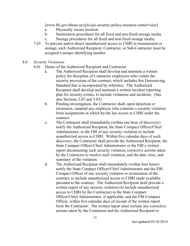[www.fbi.gov/about-us/cjis/cjis-security-policy-resource-center/view]

- a. Physically secure location.
- b. Sanitization procedures for all fixed and non-fixed storage media.
- c. Storage procedures for all fixed and non-fixed storage media.
- 7.03 To prevent and/or detect unauthorized access to CHRI in transmission or storage, each Authorized Recipient, Contractor, or Sub-Contractor must be assigned a unique identifying number.
- 8.0 *Security Violations*
	- 8.01 Duties of the Authorized Recipient and Contractor
		- a. The Authorized Recipient shall develop and maintain a written policy for discipline of Contractor employees who violate the security provisions of the contract, which includes this Outsourcing Standard that is incorporated by reference. The Authorized Recipient shall develop and maintain a written incident reporting plan for security events, to include violations and incidents. (See also Sections 2.07 and 3.03)
		- b. Pending investigation, the Contractor shall, upon detection or awareness, suspend any employee who commits a security violation from assignments in which he/she has access to CHRI under the contract.
		- c. The Contractor shall immediately (within one hour of discovery) notify the Authorized Recipient, the State Compact Officer/Chief Administrator, or the FBI of any security violation to include unauthorized access to CHRI. Within five calendar days of such discovery, the Contractor shall provide the Authorized Recipient, the State Compact Officer/Chief Administrator or the FBI a written report documenting such security violation, corrective actions taken by the Contractor to resolve such violation, and the date, time, and summary of the violation.
		- d. The Authorized Recipient shall immediately (within four hours) notify the State Compact Officer/Chief Administrator and the FBI Compact Officer of any security violation or termination of the contract, to include unauthorized access to CHRI made available pursuant to the contract. The Authorized Recipient shall provide a written report of any security violation (to include unauthorized access to CHRI by the Contractor) to the State Compact Officer/Chief Administrator, if applicable, and the FBI Compact Officer, within five calendar days of receipt of the written report from the Contractor. The written report must include any corrective actions taken by the Contractor and the Authorized Recipient to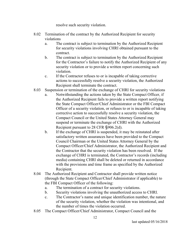resolve such security violation.

- 8.02 Termination of the contract by the Authorized Recipient for security violations
	- a. The contract is subject to termination by the Authorized Recipient for security violations involving CHRI obtained pursuant to the contract.
	- b. The contract is subject to termination by the Authorized Recipient for the Contractor's failure to notify the Authorized Recipient of any security violation or to provide a written report concerning such violation.
	- c. If the Contractor refuses to or is incapable of taking corrective actions to successfully resolve a security violation, the Authorized Recipient shall terminate the contract.
- 8.03 Suspension or termination of the exchange of CHRI for security violations
	- a. Notwithstanding the actions taken by the State Compact Officer, if the Authorized Recipient fails to provide a written report notifying the State Compact Officer/Chief Administrator or the FBI Compact Officer of a security violation, or refuses to or is incapable of taking corrective action to successfully resolve a security violation, the Compact Council or the United States Attorney General may suspend or terminate the exchange of CHRI with the Authorized Recipient pursuant to 28 CFR §906.2(d).
	- b. If the exchange of CHRI is suspended, it may be reinstated after satisfactory written assurances have been provided to the Compact Council Chairman or the United States Attorney General by the Compact Officer/Chief Administrator, the Authorized Recipient and the Contractor that the security violation has been resolved. If the exchange of CHRI is terminated, the Contractor's records (including media) containing CHRI shall be deleted or returned in accordance with the provisions and time frame as specified by the Authorized Recipient.
- 8.04 The Authorized Recipient and Contractor shall provide written notice (through the State Compact Officer/Chief Administrator if applicable) to the FBI Compact Officer of the following:
	- a. The termination of a contract for security violations.
	- b. Security violations involving the unauthorized access to CHRI.
	- c. The Contractor's name and unique identification number, the nature of the security violation, whether the violation was intentional, and the number of times the violation occurred.
- 8.05 The Compact Officer/Chief Administrator, Compact Council and the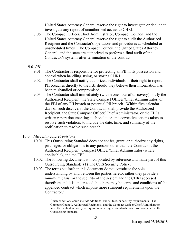United States Attorney General reserve the right to investigate or decline to investigate any report of unauthorized access to CHRI.

- 8.06 The Compact Officer/Chief Administrator, Compact Council, and the United States Attorney General reserve the right to audit the Authorized Recipient and the Contractor's operations and procedures at scheduled or unscheduled times. The Compact Council, the United States Attorney General, and the state are authorized to perform a final audit of the Contractor's systems after termination of the contract.
- 9.0 *PII*
	- 9.01 The Contractor is responsible for protecting all PII in its possession and control when handling, using, or storing CHRI.
	- 9.02 The Contractor shall notify authorized individuals of their right to report PII breaches directly to the FBI should they believe their information has been mishandled or compromised.
	- 9.03 The Contractor shall immediately (within one hour of discovery) notify the Authorized Recipient, the State Compact Officer/Chief Administrator, or the FBI of any PII breach or potential PII breach. Within five calendar days of such discovery, the Contractor shall provide the Authorized Recipient, the State Compact Officer/Chief Administrator, or the FBI a written report documenting such violation and corrective actions taken to resolve such violation, to include the date, time, and summary of the notification to resolve such breach.
- 10.0 *Miscellaneous Provisions*
	- 10.01 This Outsourcing Standard does not confer, grant, or authorize any rights, privileges, or obligations to any persons other than the Contractor, the Authorized Recipient, Compact Officer/Chief Administrator (where applicable), and the FBI.
	- 10.02 The following document is incorporated by reference and made part of this Outsourcing Standard: (1) The CJIS Security Policy.
	- 10.03 The terms set forth in this document do not constitute the sole understanding by and between the parties hereto; rather they provide a minimum basis for the security of the system and the CHRI accessed therefrom and it is understood that there may be terms and conditions of the appended contract which impose more stringent requirements upon the Contractor.<sup>5</sup>

 $\overline{\phantom{0}}$  $<sup>5</sup>$ Such conditions could include additional audits, fees, or security requirements. The</sup> Compact Council, Authorized Recipients, and the Compact Officer/Chief Administrator have the explicit authority to require more stringent standards than those contained in the Outsourcing Standard.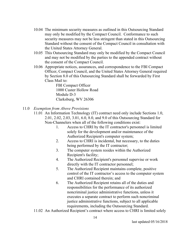- 10.04 The minimum security measures as outlined in this Outsourcing Standard may only be modified by the Compact Council. Conformance to such security measures may not be less stringent than stated in this Outsourcing Standard without the consent of the Compact Council in consultation with the United States Attorney General.
- 10.05 This Outsourcing Standard may only be modified by the Compact Council and may not be modified by the parties to the appended contract without the consent of the Compact Council.
- 10.06 Appropriate notices, assurances, and correspondence to the FBI Compact Officer, Compact Council, and the United States Attorney General required by Section 8.0 of this Outsourcing Standard shall be forwarded by First Class Mail to:

FBI Compact Officer 1000 Custer Hollow Road Module D-3 Clarksburg, WV 26306

- 11.0 *Exemption from Above Provisions*
	- 11.01 An Information Technology (IT) contract need only include Sections 1.0, 2.01, 2.02, 2.03, 3.01, 6.0, 8.0, and 9.0 of this Outsourcing Standard for Non-Channelers when all of the following conditions exist:
		- 1. Access to CHRI by the IT contractor's personnel is limited solely for the development and/or maintenance of the Authorized Recipient's computer system;
		- 2. Access to CHRI is incidental, but necessary, to the duties being performed by the IT contractor;
		- 3. The computer system resides within the Authorized Recipient's facility;
		- 4. The Authorized Recipient's personnel supervise or work directly with the IT contractor personnel;
		- 5. The Authorized Recipient maintains complete, positive control of the IT contractor's access to the computer system and CHRI contained therein; and
		- 6. The Authorized Recipient retains all of the duties and responsibilities for the performance of its authorized noncriminal justice administrative functions, unless it executes a separate contract to perform such noncriminal justice administrative functions, subject to all applicable requirements, including the Outsourcing Standard.
	- 11.02 An Authorized Recipient's contract where access to CHRI is limited solely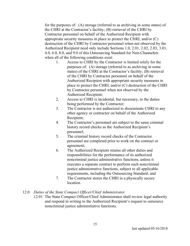for the purposes of: (A) storage (referred to as archiving in some states) of the CHRI at the Contractor's facility; (B) retrieval of the CHRI by Contractor personnel on behalf of the Authorized Recipient with appropriate security measures in place to protect the CHRI; and/or (C) destruction of the CHRI by Contractor personnel when not observed by the Authorized Recipient need only include Sections 1.0, 2.01, 2.02, 2.03, 3.01, 4.0, 6.0, 8.0, and 9.0 of this Outsourcing Standard for Non-Channelers when all of the following conditions exist:

- 1. Access to CHRI by the Contractor is limited solely for the purposes of: (A) storage (referred to as archiving in some states) of the CHRI at the Contractor's facility; (B) retrieval of the CHRI by Contractor personnel on behalf of the Authorized Recipient with appropriate security measures in place to protect the CHRI; and/or (C) destruction of the CHRI by Contractor personnel when not observed by the Authorized Recipient;
- 2. Access to CHRI is incidental, but necessary, to the duties being performed by the Contractor;
- 3. The Contractor is not authorized to disseminate CHRI to any other agency or contractor on behalf of the Authorized Recipient;
- 4. The Contractor's personnel are subject to the same criminal history record checks as the Authorized Recipient's personnel;
- 5. The criminal history record checks of the Contractor personnel are completed prior to work on the contract or agreement;
- 6. The Authorized Recipient retains all other duties and responsibilities for the performance of its authorized noncriminal justice administrative functions, unless it executes a separate contract to perform such noncriminal justice administrative functions, subject to all applicable requirements, including the Outsourcing Standard; and
- 7. The Contractor stores the CHRI in a physically secure location.
- 12.0 *Duties of the State Compact Officer/Chief Administrator*
	- 12.01 The State Compact Officer/Chief Administrator shall review legal authority and respond in writing to the Authorized Recipient's request to outsource noncriminal justice administrative functions.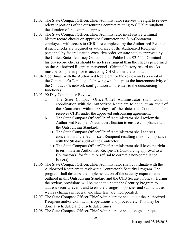- 12.02 The State Compact Officer/Chief Administrator reserves the right to review relevant portions of the outsourcing contract relating to CHRI throughout the duration of the contract approval.
- 12.03 The State Compact Officer/Chief Administrator must ensure criminal history record checks on approved Contractor and Sub-Contractor employees with access to CHRI are completed by the Authorized Recipient, if such checks are required or authorized of the Authorized Recipient personnel by federal statute, executive order, or state statute approved by the United States Attorney General under Public Law 92-544. Criminal history record checks should be no less stringent than the checks performed on the Authorized Recipient personnel. Criminal history record checks must be completed prior to accessing CHRI under the contract.
- 12.04 Coordinate with the Authorized Recipient for the review and approval of the Contractor's Topological drawing which depicts the interconnectivity of the Contractor's network configuration as it relates to the outsourcing function(s).
- 12.05 90 Day Compliance Review
	- a. The State Compact Officer/Chief Administrator shall work in coordination with the Authorized Recipient to conduct an audit of the Contractor within 90 days of the date the Contractor first receives CHRI under the approved outsourcing agreement.
	- b. The State Compact Officer/Chief Administrator shall review the Authorized Recipient's audit certification to ensure compliance with the Outsourcing Standard.
		- i) The State Compact Officer/Chief Administrator shall address concerns with the Authorized Recipient resulting in non-compliance with the 90 day audit of the Contractor.
		- ii) The State Compact Officer/Chief Administrator shall have the right to terminate an Authorized Recipient's Outsourcing approval to a Contractor(s) for failure or refusal to correct a non-compliance issue(s).
- 12.06 The State Compact Officer/Chief Administrator shall coordinate with the Authorized Recipient to review the Contractor's Security Program. The program shall describe the implementation of the security requirements outlined in this Outsourcing Standard and the CJIS Security Policy. During the review, provisions will be made to update the Security Program to address security events and to ensure changes in policies and standards, as well as changes in federal and state law, are incorporated.
- 12.07 The State Compact Officer/Chief Administrator shall audit the Authorized Recipient and/or Contractor's operations and procedures. This may be done at scheduled and unscheduled times.
- 12.08 The State Compact Officer/Chief Administrator shall assign a unique